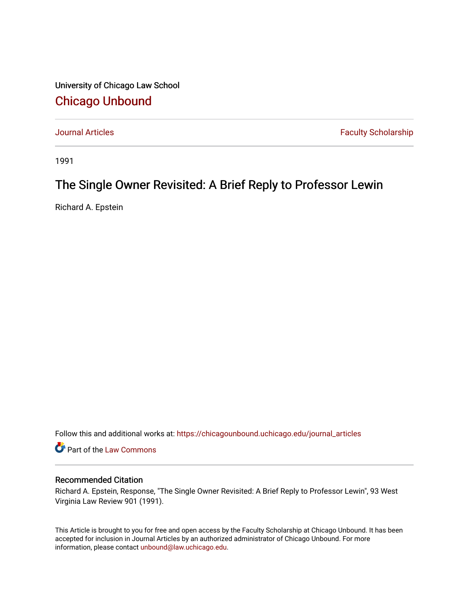University of Chicago Law School [Chicago Unbound](https://chicagounbound.uchicago.edu/)

[Journal Articles](https://chicagounbound.uchicago.edu/journal_articles) **Faculty Scholarship Faculty Scholarship** 

1991

## The Single Owner Revisited: A Brief Reply to Professor Lewin

Richard A. Epstein

Follow this and additional works at: [https://chicagounbound.uchicago.edu/journal\\_articles](https://chicagounbound.uchicago.edu/journal_articles?utm_source=chicagounbound.uchicago.edu%2Fjournal_articles%2F3909&utm_medium=PDF&utm_campaign=PDFCoverPages) 

Part of the [Law Commons](http://network.bepress.com/hgg/discipline/578?utm_source=chicagounbound.uchicago.edu%2Fjournal_articles%2F3909&utm_medium=PDF&utm_campaign=PDFCoverPages)

## Recommended Citation

Richard A. Epstein, Response, "The Single Owner Revisited: A Brief Reply to Professor Lewin", 93 West Virginia Law Review 901 (1991).

This Article is brought to you for free and open access by the Faculty Scholarship at Chicago Unbound. It has been accepted for inclusion in Journal Articles by an authorized administrator of Chicago Unbound. For more information, please contact [unbound@law.uchicago.edu](mailto:unbound@law.uchicago.edu).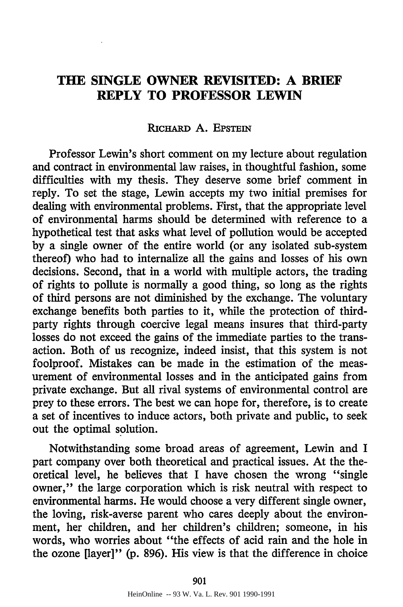## **THE SINGLE OWNER REVISITED: A BRIEF REPLY TO PROFESSOR LEWIN**

## **RiCFARD** A. EPSTEIN

Professor Lewin's short comment on my lecture about regulation and contract in environmental law raises, in thoughtful fashion, some difficulties with my thesis. They deserve some brief comment in reply. To set the stage, Lewin accepts my two initial premises for dealing with environmental problems. First, that the appropriate level of environmental harms should be determined with reference to a hypothetical test that asks what level of pollution would be accepted by a single owner of the entire world (or any isolated sub-system thereof) who had to internalize all the gains and losses of his own decisions. Second, that in a world with multiple actors, the trading of rights to pollute is normally a good thing, so long as the rights of third persons are not diminished by the exchange. The voluntary exchange benefits both parties to it, while the protection of thirdparty rights through coercive legal means insures that third-party losses do not exceed the gains of the immediate parties to the transaction. Both of us recognize, indeed insist, that this system is not foolproof. Mistakes can be made in the estimation of the measurement of environmental losses and in the anticipated gains from private exchange. But all rival systems of environmental control are prey to these errors. The best we can hope for, therefore, is to create a set of incentives to induce actors, both private and public, to seek out the optimal solution.

Notwithstanding some broad areas of agreement, Lewin and I part company over both theoretical and practical issues. At the theoretical level, he believes that I have chosen the wrong "single owner," the large corporation which is risk neutral with respect to environmental harms. He would choose a very different single owner, the loving, risk-averse parent who cares deeply about the environment, her children, and her children's children; someone, in his words, who worries about "the effects of acid rain and the hole in the ozone (layer]" **(p.** 896). His view is that the difference in choice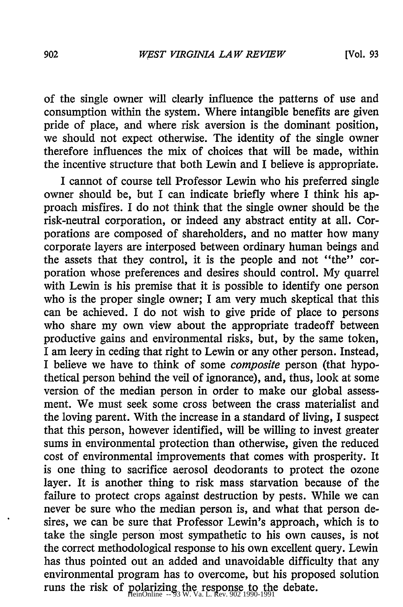of the single owner will clearly influence the patterns of use and consumption within the system. Where intangible benefits are given pride of place, and where risk aversion is the dominant position, we should not expect otherwise. The identity of the single owner therefore influences the mix of choices that will be made, within the incentive structure that both Lewin and I believe is appropriate.

I cannot of course tell Professor Lewin who his preferred single owner should be, but I can indicate briefly where I think his approach misfires. I do not think that the single owner should be the risk-neutral corporation, or indeed any abstract entity at all. Corporations are composed of shareholders, and no matter how many corporate layers are interposed between ordinary human beings and the assets that they control, it is the people and not "the" corporation whose preferences and desires should control. My quarrel with Lewin is his premise that it is possible to identify one person who is the proper single owner; I am very much skeptical that this can be achieved. I do not wish to give pride of place to persons who share my own view about the appropriate tradeoff between productive gains and environmental risks, but, by the same token, I am leery in ceding that right to Lewin or any other person. Instead, I believe we have to think of some *composite* person (that hypothetical person behind the veil of ignorance), and, thus, look at some version of the median person in order to make our global assessment. We must seek some cross between the crass materialist and the loving parent. With the increase in a standard of living, I suspect that this person, however identified, will be willing to invest greater sums in environmental protection than otherwise, given the reduced cost of environmental improvements that comes with prosperity. It is one thing to sacrifice aerosol deodorants to protect the ozone layer. It is another thing to risk mass starvation because of the failure to protect crops against destruction by pests. While we can never be sure who the median person is, and what that person desires, we can be sure that Professor Lewin's approach, which is to take the single person most sympathetic to his own causes, is not the correct methodological response to his own excellent query. Lewin has thus pointed out an added and unavoidable difficulty that any environmental program has to overcome, but his proposed solution runs the risk of polarizing the response to the debate.<br>
HeinOnline  $-93$  W. Va. L. Rev. 902 1990-1991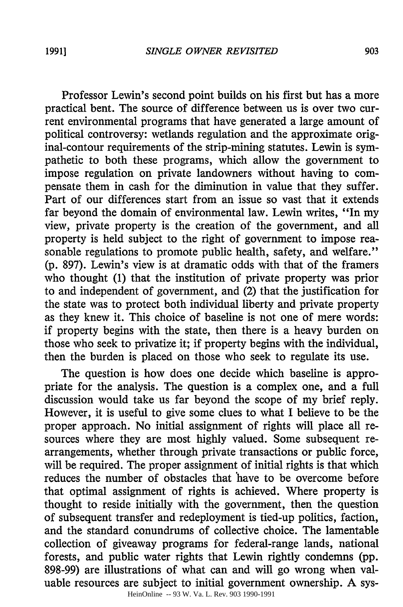Professor Lewin's second point builds on his first but has a more practical bent. The source of difference between us is over two current environmental programs that have generated a large amount of political controversy: wetlands regulation and the approximate original-contour requirements of the strip-mining statutes. Lewin is sympathetic to both these programs, which allow the government to impose regulation on private landowners without having to compensate them in cash for the diminution in value that they suffer. Part of our differences start from an issue so vast that it extends far beyond the domain of environmental law. Lewin writes, "In my view, private property is the creation of the government, and all property is held subject to the right of government to impose reasonable regulations to promote public health, safety, and welfare." **(p.** 897). Lewin's view is at dramatic odds with that of the framers who thought (1) that the institution of private property was prior to and independent of government, and (2) that the justification for the state was to protect both individual liberty and private property as they knew it. This choice of baseline is not one of mere words: if property begins with the state, then there is a heavy burden on those who seek to privatize it; if property begins with the individual, then the burden is placed on those who seek to regulate its use.

The question is how does one decide which baseline is appropriate for the analysis. The question is a complex one, and a full discussion would take us far beyond the scope of my brief reply. However, it is useful to give some clues to what I believe to be the proper approach. No initial assignment of rights will place all resources where they are most highly valued. Some subsequent rearrangements, whether through private transactions or public force, will be required. The proper assignment of initial rights is that which reduces the number of obstacles that have to be overcome before that optimal assignment of rights is achieved. Where property is thought to reside initially with the government, then the question of subsequent transfer and redeployment is tied-up politics, faction, and the standard conundrums of collective choice. The lamentable collection of giveaway programs for federal-range lands, national forests, and public water rights that Lewin rightly condemns (pp. 898-99) are illustrations of what can and will go wrong when valuable resources are subject to initial government ownership. A sys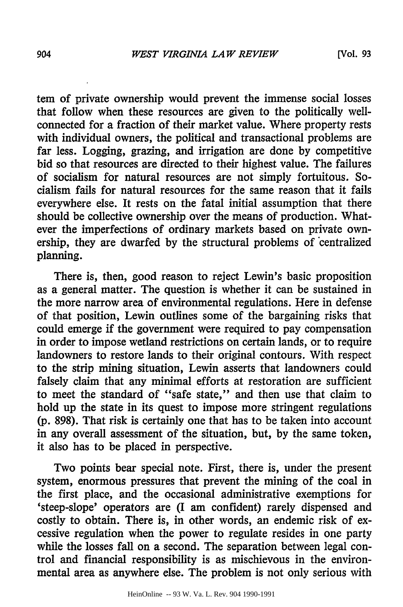tern of private ownership would prevent the immense social losses that follow when these resources are given to the politically wellconnected for a fraction of their market value. Where property rests with individual owners, the political and transactional problems are far less. Logging, grazing, and irrigation are done by competitive bid so that resources are directed to their highest value. The failures of socialism for natural resources are not simply fortuitous. Socialism fails for natural resources for the same reason that it fails everywhere else. It rests on the fatal initial assumption that there should be collective ownership over the means of production. Whatever the imperfections of ordinary markets based on private ownership, they are dwarfed by the structural problems of centralized planning.

There is, then, good reason to reject Lewin's basic proposition as a general matter. The question is whether it can be sustained in the more narrow area of environmental regulations. Here in defense of that position, Lewin outlines some of the bargaining risks that could emerge if the government were required to pay compensation in order to impose wetland restrictions on certain lands, or to require landowners to restore lands to their original contours. With respect to the strip mining situation, Lewin asserts that landowners could falsely claim that any minimal efforts at restoration are sufficient to meet the standard of "safe state," and then use that claim to hold up the state in its quest to impose more stringent regulations (p. 898). That risk is certainly one that has to be taken into account in any overall assessment of the situation, but, by the same token, it also has to be placed in perspective.

Two points bear special note. First, there is, under the present system, enormous pressures that prevent the mining of the coal in the first place, and the occasional administrative exemptions for 'steep-slope' operators are (I am confident) rarely dispensed and costly to obtain. There is, in other words, an endemic risk of excessive regulation when the power to regulate resides in one party while the losses fall on a second. The separation between legal control and financial responsibility is as mischievous in the environmental area as anywhere else. The problem is not only serious with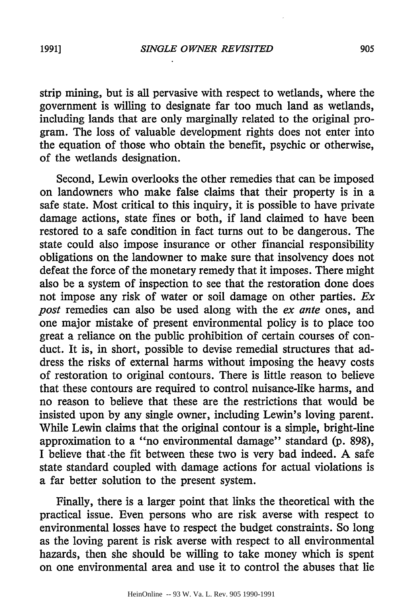strip mining, but is all pervasive with respect to wetlands, where the government is willing to designate far too much land as wetlands, including lands that are only marginally related to the original program. The loss of valuable development rights does not enter into the equation of those who obtain the benefit, psychic or otherwise, of the wetlands designation.

Second, Lewin overlooks the other remedies that can be imposed on landowners who make false claims that their property is in a safe state. Most critical to this inquiry, it is possible to have private damage actions, state fines or both, if land claimed to have been restored to a safe condition in fact turns out to be dangerous. The state could also impose insurance or other financial responsibility obligations on the landowner to make sure that insolvency does not defeat the force of the monetary remedy that it imposes. There might also be a system of inspection to see that the restoration done does not impose any risk of water or soil damage on other parties. *Ex post* remedies can also be used along with the *ex ante* ones, and one major mistake of present environmental policy is to place too great a reliance on the public prohibition of certain courses of conduct. It is, in short, possible to devise remedial structures that address the risks of external harms without imposing the heavy costs of restoration to original contours. There is little reason to believe that-these contours are required to control nuisance-like harms, and no reason to believe that these are the restrictions that would be insisted upon by any single owner, including Lewin's loving parent. While Lewin claims that the original contour is a simple, bright-line approximation to a "no environmental damage" standard (p. 898), I believe that -the fit between these two is very bad indeed. A safe state standard coupled with damage actions for actual violations is a far better solution to the present system.

Finally, there is a larger point that links the theoretical with the practical issue. Even persons who are risk averse with respect to environmental losses have to respect the budget constraints. So long as the loving parent is risk averse with respect to all environmental hazards, then she should be willing to take money which is spent on one environmental area and use it to control the abuses that lie